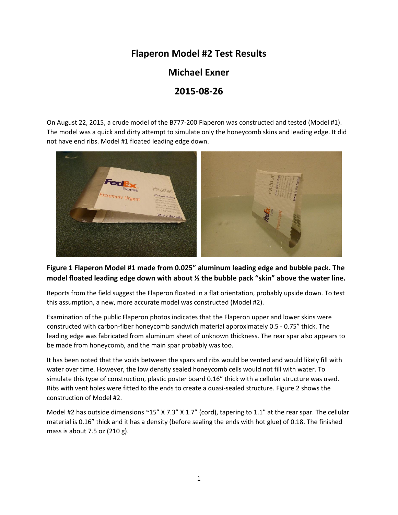## **Flaperon Model #2 Test Results**

**Michael Exner**

## **2015-08-26**

On August 22, 2015, a crude model of the B777-200 Flaperon was constructed and tested (Model #1). The model was a quick and dirty attempt to simulate only the honeycomb skins and leading edge. It did not have end ribs. Model #1 floated leading edge down.



## **Figure 1 Flaperon Model #1 made from 0.025" aluminum leading edge and bubble pack. The model floated leading edge down with about ½ the bubble pack "skin" above the water line.**

Reports from the field suggest the Flaperon floated in a flat orientation, probably upside down. To test this assumption, a new, more accurate model was constructed (Model #2).

Examination of the public Flaperon photos indicates that the Flaperon upper and lower skins were constructed with carbon-fiber honeycomb sandwich material approximately 0.5 - 0.75" thick. The leading edge was fabricated from aluminum sheet of unknown thickness. The rear spar also appears to be made from honeycomb, and the main spar probably was too.

It has been noted that the voids between the spars and ribs would be vented and would likely fill with water over time. However, the low density sealed honeycomb cells would not fill with water. To simulate this type of construction, plastic poster board 0.16" thick with a cellular structure was used. Ribs with vent holes were fitted to the ends to create a quasi-sealed structure. Figure 2 shows the construction of Model #2.

Model #2 has outside dimensions ~15" X 7.3" X 1.7" (cord), tapering to 1.1" at the rear spar. The cellular material is 0.16" thick and it has a density (before sealing the ends with hot glue) of 0.18. The finished mass is about 7.5 oz (210 g).